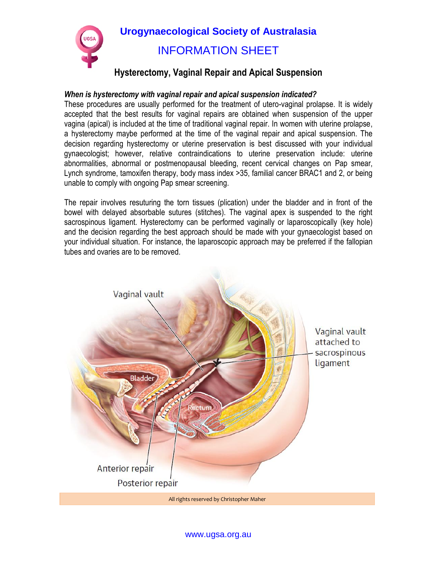

## **Urogynaecological Society of Australasia**  INFORMATION SHEET

## **Hysterectomy, Vaginal Repair and Apical Suspension**

## *When is hysterectomy with vaginal repair and apical suspension indicated?*

These procedures are usually performed for the treatment of utero-vaginal prolapse. It is widely accepted that the best results for vaginal repairs are obtained when suspension of the upper vagina (apical) is included at the time of traditional vaginal repair. In women with uterine prolapse, a hysterectomy maybe performed at the time of the vaginal repair and apical suspension. The decision regarding hysterectomy or uterine preservation is best discussed with your individual gynaecologist; however, relative contraindications to uterine preservation include: uterine abnormalities, abnormal or postmenopausal bleeding, recent cervical changes on Pap smear, Lynch syndrome, tamoxifen therapy, body mass index >35, familial cancer BRAC1 and 2, or being unable to comply with ongoing Pap smear screening.

The repair involves resuturing the torn tissues (plication) under the bladder and in front of the bowel with delayed absorbable sutures (stitches). The vaginal apex is suspended to the right sacrospinous ligament. Hysterectomy can be performed vaginally or laparoscopically (key hole) and the decision regarding the best approach should be made with your gynaecologist based on your individual situation. For instance, the laparoscopic approach may be preferred if the fallopian tubes and ovaries are to be removed.